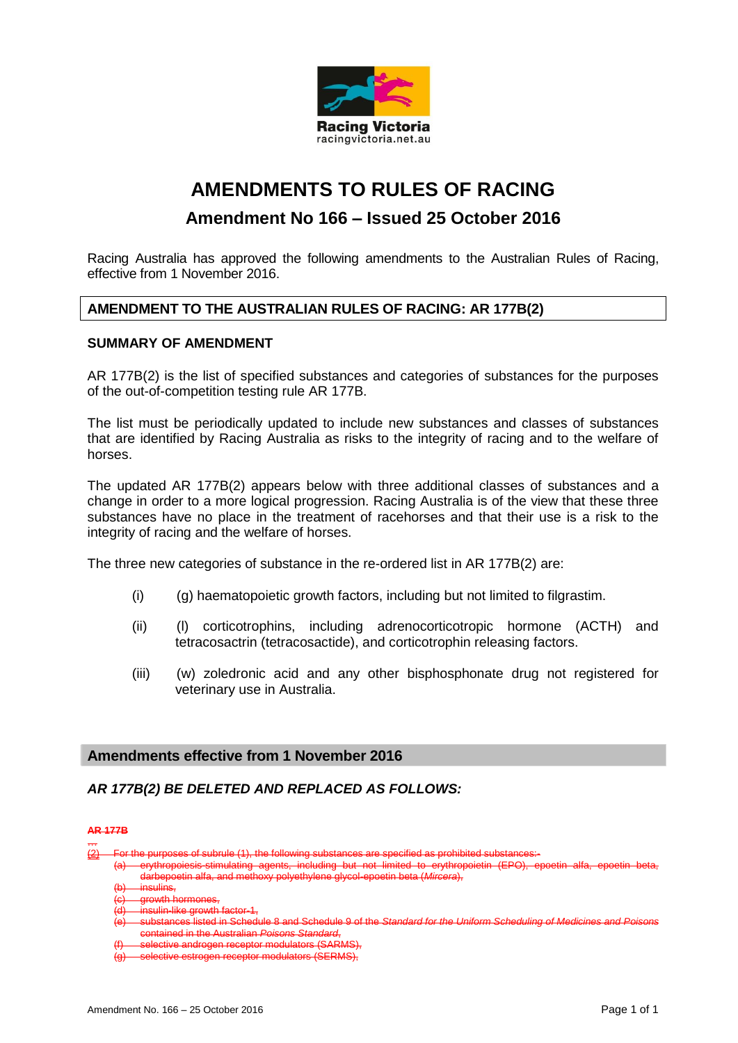

# **AMENDMENTS TO RULES OF RACING**

## **Amendment No 166 – Issued 25 October 2016**

Racing Australia has approved the following amendments to the Australian Rules of Racing, effective from 1 November 2016.

### **AMENDMENT TO THE AUSTRALIAN RULES OF RACING: AR 177B(2)**

#### **SUMMARY OF AMENDMENT**

AR 177B(2) is the list of specified substances and categories of substances for the purposes of the out-of-competition testing rule AR 177B.

The list must be periodically updated to include new substances and classes of substances that are identified by Racing Australia as risks to the integrity of racing and to the welfare of horses.

The updated AR 177B(2) appears below with three additional classes of substances and a change in order to a more logical progression. Racing Australia is of the view that these three substances have no place in the treatment of racehorses and that their use is a risk to the integrity of racing and the welfare of horses.

The three new categories of substance in the re-ordered list in AR 177B(2) are:

- (i) (g) haematopoietic growth factors, including but not limited to filgrastim.
- (ii) (l) corticotrophins, including adrenocorticotropic hormone (ACTH) and tetracosactrin (tetracosactide), and corticotrophin releasing factors.
- (iii) (w) zoledronic acid and any other bisphosphonate drug not registered for veterinary use in Australia.

#### **Amendments effective from 1 November 2016**

*AR 177B(2) BE DELETED AND REPLACED AS FOLLOWS:*

#### **AR 177B**

- …  $\frac{2}{2}$  For the purposes of subrule (1), the following substances are specified as prohibited substances:
	- including but not limited to erythrop darbepoetin alfa, and m
	- nsulins,
	- (c) growth hormones,
	- ulin-like growth
	- (e) substances listed in Schedule 8 and Schedule 9 of the *Standard for the Uniform Scheduling of Medicines and Poisons* contained in the Australian *Poisons Standard*,
	- ctive androgen receptor modulators (SARMS)

tor modulators (SERMS)